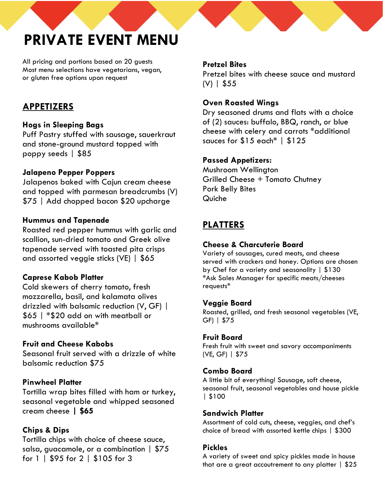# **PRIVATE EVENT MENU**

All pricing and portions based on 20 guests Most menu selections have vegetarians, vegan, or gluten free options upon request

# **APPETIZERS**

# **Hogs in Sleeping Bags**

Puff Pastry stuffed with sausage, sauerkraut and stone-ground mustard topped with poppy seeds | \$85

## **Jalapeno Pepper Poppers**

Jalapenos baked with Cajun cream cheese and topped with parmesan breadcrumbs (V) \$75 | Add chopped bacon \$20 upcharge

## **Hummus and Tapenade**

Roasted red pepper hummus with garlic and scallion, sun-dried tomato and Greek olive tapenade served with toasted pita crisps and assorted veggie sticks (VE) | \$65

# **Caprese Kabob Platter**

Cold skewers of cherry tomato, fresh mozzarella, basil, and kalamata olives drizzled with balsamic reduction (V, GF) | \$65 | \*\$20 add on with meatball or mushrooms available\*

# **Fruit and Cheese Kabobs**

Seasonal fruit served with a drizzle of white balsamic reduction \$75

# **Pinwheel Platter**

Tortilla wrap bites filled with ham or turkey, seasonal vegetable and whipped seasoned cream cheese **| \$65**

# **Chips & Dips**

Tortilla chips with choice of cheese sauce, salsa, guacamole, or a combination | \$75 for 1 | \$95 for 2 | \$105 for 3

#### **Pretzel Bites**

Pretzel bites with cheese sauce and mustard (V) | \$55

# **Oven Roasted Wings**

Dry seasoned drums and flats with a choice of (2) sauces: buffalo, BBQ, ranch, or blue cheese with celery and carrots \*additional sauces for \$15 each\* | \$125

## **Passed Appetizers:**

Mushroom Wellington Grilled Cheese + Tomato Chutney Pork Belly Bites Quiche

# **PLATTERS**

# **Cheese & Charcuterie Board**

Variety of sausages, cured meats, and cheese served with crackers and honey. Options are chosen by Chef for a variety and seasonality | \$130 \*Ask Sales Manager for specific meats/cheeses requests\*

# **Veggie Board**

Roasted, grilled, and fresh seasonal vegetables (VE, GF) | \$75

#### **Fruit Board**

Fresh fruit with sweet and savory accompaniments (VE, GF) | \$75

#### **Combo Board**

A little bit of everything! Sausage, soft cheese, seasonal fruit, seasonal vegetables and house pickle | \$100

#### **Sandwich Platter**

Assortment of cold cuts, cheese, veggies, and chef's choice of bread with assorted kettle chips | \$300

#### **Pickles**

A variety of sweet and spicy pickles made in house that are a great accoutrement to any platter  $\frac{1}{2}$  \$25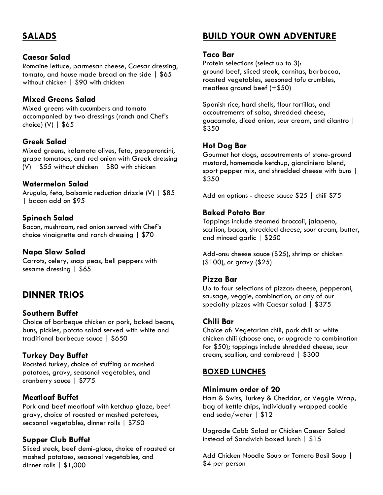# **SALADS**

#### **Caesar Salad**

Romaine lettuce, parmesan cheese, Caesar dressing, tomato, and house made bread on the side | \$65 without chicken | \$90 with chicken

## **Mixed Greens Salad**

Mixed greens with cucumbers and tomato accompanied by two dressings (ranch and Chef's choice) (V) | \$65

## **Greek Salad**

Mixed greens, kalamata olives, feta, pepperoncini, grape tomatoes, and red onion with Greek dressing (V) | \$55 without chicken | \$80 with chicken

#### **Watermelon Salad**

Arugula, feta, balsamic reduction drizzle (V) | \$85 | bacon add on \$95

## **Spinach Salad**

Bacon, mushroom, red onion served with Chef's choice vinaigrette and ranch dressing | \$70

#### **Napa Slaw Salad**

Carrots, celery, snap peas, bell peppers with sesame dressing | \$65

# **DINNER TRIOS**

#### **Southern Buffet**

Choice of barbeque chicken or pork, baked beans, buns, pickles, potato salad served with white and traditional barbecue sauce | \$650

#### **Turkey Day Buffet**

Roasted turkey, choice of stuffing or mashed potatoes, gravy, seasonal vegetables, and cranberry sauce | \$775

#### **Meatloaf Buffet**

Pork and beef meatloaf with ketchup glaze, beef gravy, choice of roasted or mashed potatoes, seasonal vegetables, dinner rolls | \$750

#### **Supper Club Buffet**

Sliced steak, beef demi-glace, choice of roasted or mashed potatoes, seasonal vegetables, and dinner rolls | \$1,000

# **BUILD YOUR OWN ADVENTURE**

#### **Taco Bar**

Protein selections (select up to 3): ground beef, sliced steak, carnitas, barbacoa, roasted vegetables, seasoned tofu crumbles, meatless ground beef (+\$50)

Spanish rice, hard shells, flour tortillas, and accoutrements of salsa, shredded cheese, guacamole, diced onion, sour cream, and cilantro | \$350

#### **Hot Dog Bar**

Gourmet hot dogs, accoutrements of stone-ground mustard, homemade ketchup, giardiniera blend, sport pepper mix, and shredded cheese with buns | \$350

Add on options - cheese sauce \$25 | chili \$75

#### **Baked Potato Bar**

Toppings include steamed broccoli, jalapeno, scallion, bacon, shredded cheese, sour cream, butter, and minced garlic | \$250

Add-ons: cheese sauce (\$25), shrimp or chicken (\$100), or gravy (\$25)

#### **Pizza Bar**

Up to four selections of pizzas: cheese, pepperoni, sausage, veggie, combination, or any of our specialty pizzas with Caesar salad | \$375

#### **Chili Bar**

Choice of: Vegetarian chili, pork chili or white chicken chili (choose one, or upgrade to combination for \$50); toppings include shredded cheese, sour cream, scallion, and cornbread | \$300

#### **BOXED LUNCHES**

#### **Minimum order of 20**

Ham & Swiss, Turkey & Cheddar, or Veggie Wrap, bag of kettle chips, individually wrapped cookie and soda/water | \$12

Upgrade Cobb Salad or Chicken Caesar Salad instead of Sandwich boxed lunch | \$15

Add Chicken Noodle Soup or Tomato Basil Soup | \$4 per person